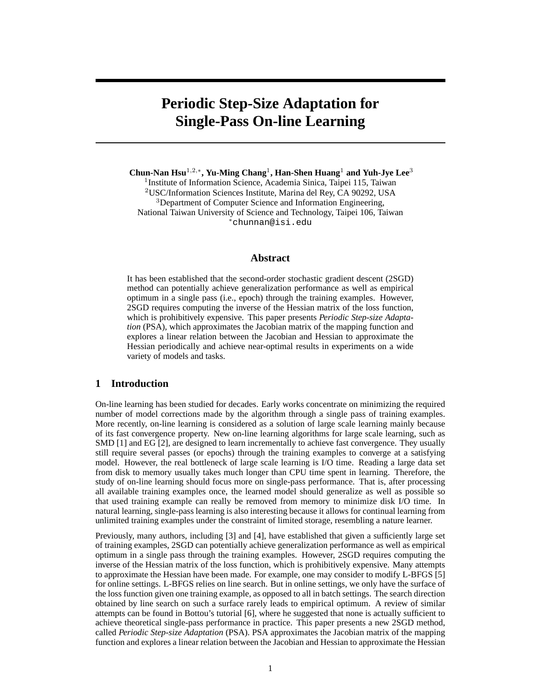# **Periodic Step-Size Adaptation for Single-Pass On-line Learning**

**Chun-Nan Hsu**<sup>1</sup>,2,<sup>∗</sup> **, Yu-Ming Chang**<sup>1</sup> **, Han-Shen Huang**<sup>1</sup> **and Yuh-Jye Lee**<sup>3</sup>

<sup>1</sup> Institute of Information Science, Academia Sinica, Taipei 115, Taiwan <sup>2</sup>USC/Information Sciences Institute, Marina del Rey, CA 90292, USA <sup>3</sup>Department of Computer Science and Information Engineering, National Taiwan University of Science and Technology, Taipei 106, Taiwan <sup>∗</sup>chunnan@isi.edu

### **Abstract**

It has been established that the second-order stochastic gradient descent (2SGD) method can potentially achieve generalization performance as well as empirical optimum in a single pass (i.e., epoch) through the training examples. However, 2SGD requires computing the inverse of the Hessian matrix of the loss function, which is prohibitively expensive. This paper presents *Periodic Step-size Adaptation* (PSA), which approximates the Jacobian matrix of the mapping function and explores a linear relation between the Jacobian and Hessian to approximate the Hessian periodically and achieve near-optimal results in experiments on a wide variety of models and tasks.

# **1 Introduction**

On-line learning has been studied for decades. Early works concentrate on minimizing the required number of model corrections made by the algorithm through a single pass of training examples. More recently, on-line learning is considered as a solution of large scale learning mainly because of its fast convergence property. New on-line learning algorithms for large scale learning, such as SMD [1] and EG [2], are designed to learn incrementally to achieve fast convergence. They usually still require several passes (or epochs) through the training examples to converge at a satisfying model. However, the real bottleneck of large scale learning is I/O time. Reading a large data set from disk to memory usually takes much longer than CPU time spent in learning. Therefore, the study of on-line learning should focus more on single-pass performance. That is, after processing all available training examples once, the learned model should generalize as well as possible so that used training example can really be removed from memory to minimize disk I/O time. In natural learning, single-pass learning is also interesting because it allows for continual learning from unlimited training examples under the constraint of limited storage, resembling a nature learner.

Previously, many authors, including [3] and [4], have established that given a sufficiently large set of training examples, 2SGD can potentially achieve generalization performance as well as empirical optimum in a single pass through the training examples. However, 2SGD requires computing the inverse of the Hessian matrix of the loss function, which is prohibitively expensive. Many attempts to approximate the Hessian have been made. For example, one may consider to modify L-BFGS [5] for online settings. L-BFGS relies on line search. But in online settings, we only have the surface of the loss function given one training example, as opposed to all in batch settings. The search direction obtained by line search on such a surface rarely leads to empirical optimum. A review of similar attempts can be found in Bottou's tutorial [6], where he suggested that none is actually sufficient to achieve theoretical single-pass performance in practice. This paper presents a new 2SGD method, called *Periodic Step-size Adaptation* (PSA). PSA approximates the Jacobian matrix of the mapping function and explores a linear relation between the Jacobian and Hessian to approximate the Hessian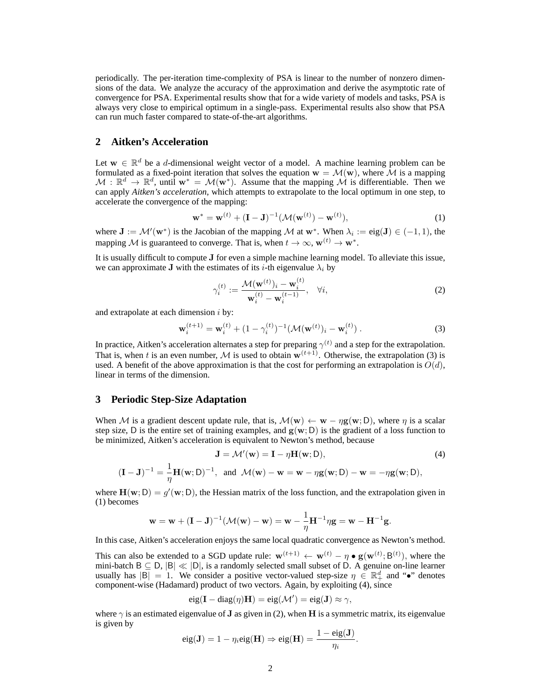periodically. The per-iteration time-complexity of PSA is linear to the number of nonzero dimensions of the data. We analyze the accuracy of the approximation and derive the asymptotic rate of convergence for PSA. Experimental results show that for a wide variety of models and tasks, PSA is always very close to empirical optimum in a single-pass. Experimental results also show that PSA can run much faster compared to state-of-the-art algorithms.

# **2 Aitken's Acceleration**

Let  $w \in \mathbb{R}^d$  be a *d*-dimensional weight vector of a model. A machine learning problem can be formulated as a fixed-point iteration that solves the equation  $\mathbf{w} = \mathcal{M}(\mathbf{w})$ , where  $\mathcal{M}$  is a mapping  $\mathcal{M}: \mathbb{R}^d \to \mathbb{R}^d$ , until  $\mathbf{w}^* = \mathcal{M}(\mathbf{w}^*)$ . Assume that the mapping  $\mathcal{M}$  is differentiable. Then we can apply *Aitken's acceleration*, which attempts to extrapolate to the local optimum in one step, to accelerate the convergence of the mapping:

$$
\mathbf{w}^* = \mathbf{w}^{(t)} + (\mathbf{I} - \mathbf{J})^{-1} (\mathcal{M}(\mathbf{w}^{(t)}) - \mathbf{w}^{(t)}),
$$
 (1)

where  $J := \mathcal{M}'(w^*)$  is the Jacobian of the mapping  $\mathcal M$  at  $w^*$ . When  $\lambda_i := eig(J) \in (-1,1)$ , the mapping M is guaranteed to converge. That is, when  $t \to \infty$ ,  $\mathbf{w}^{(t)} \to \mathbf{w}^*$ .

It is usually difficult to compute J for even a simple machine learning model. To alleviate this issue, we can approximate J with the estimates of its *i*-th eigenvalue  $\lambda_i$  by

$$
\gamma_i^{(t)} := \frac{\mathcal{M}(\mathbf{w}^{(t)})_i - \mathbf{w}_i^{(t)}}{\mathbf{w}_i^{(t)} - \mathbf{w}_i^{(t-1)}}, \quad \forall i,
$$
\n(2)

and extrapolate at each dimension  $i$  by:

$$
\mathbf{w}_{i}^{(t+1)} = \mathbf{w}_{i}^{(t)} + (1 - \gamma_{i}^{(t)})^{-1} (\mathcal{M}(\mathbf{w}^{(t)})_{i} - \mathbf{w}_{i}^{(t)}) .
$$
 (3)

In practice, Aitken's acceleration alternates a step for preparing  $\gamma^{(t)}$  and a step for the extrapolation. That is, when t is an even number, M is used to obtain  $w^{(t+1)}$ . Otherwise, the extrapolation (3) is used. A benefit of the above approximation is that the cost for performing an extrapolation is  $O(d)$ , linear in terms of the dimension.

#### **3 Periodic Step-Size Adaptation**

When M is a gradient descent update rule, that is,  $\mathcal{M}(w) \leftarrow w - \eta g(w; D)$ , where  $\eta$  is a scalar step size, D is the entire set of training examples, and  $g(w; D)$  is the gradient of a loss function to be minimized, Aitken's acceleration is equivalent to Newton's method, because

$$
\mathbf{J} = \mathcal{M}'(\mathbf{w}) = \mathbf{I} - \eta \mathbf{H}(\mathbf{w}; \mathsf{D}),
$$
(4)  

$$
(\mathbf{I} - \mathbf{J})^{-1} = \frac{1}{\eta} \mathbf{H}(\mathbf{w}; \mathsf{D})^{-1}, \text{ and } \mathcal{M}(\mathbf{w}) - \mathbf{w} = \mathbf{w} - \eta \mathbf{g}(\mathbf{w}; \mathsf{D}) - \mathbf{w} = -\eta \mathbf{g}(\mathbf{w}; \mathsf{D}),
$$

where  $\mathbf{H}(\mathbf{w}; D) = g'(\mathbf{w}; D)$ , the Hessian matrix of the loss function, and the extrapolation given in (1) becomes

$$
\mathbf{w} = \mathbf{w} + (\mathbf{I} - \mathbf{J})^{-1}(\mathcal{M}(\mathbf{w}) - \mathbf{w}) = \mathbf{w} - \frac{1}{\eta}\mathbf{H}^{-1}\eta\mathbf{g} = \mathbf{w} - \mathbf{H}^{-1}\mathbf{g}.
$$

In this case, Aitken's acceleration enjoys the same local quadratic convergence as Newton's method.

This can also be extended to a SGD update rule:  $\mathbf{w}^{(t+1)} \leftarrow \mathbf{w}^{(t)} - \eta \bullet \mathbf{g}(\mathbf{w}^{(t)}; \mathsf{B}^{(t)})$ , where the mini-batch B ⊆ D, |B| « |D|, is a randomly selected small subset of D. A genuine on-line learner usually has  $|\overline{B}| = 1$ . We consider a positive vector-valued step-size  $\eta \in \mathbb{R}^d_+$  and "•" denotes component-wise (Hadamard) product of two vectors. Again, by exploiting (4), since

$$
eig(\mathbf{I} - diag(\eta)\mathbf{H}) = eig(\mathcal{M}') = eig(\mathbf{J}) \approx \gamma,
$$

where  $\gamma$  is an estimated eigenvalue of **J** as given in (2), when **H** is a symmetric matrix, its eigenvalue is given by

$$
eig(\mathbf{J}) = 1 - \eta_i eig(\mathbf{H}) \Rightarrow eig(\mathbf{H}) = \frac{1 - eig(\mathbf{J})}{\eta_i}.
$$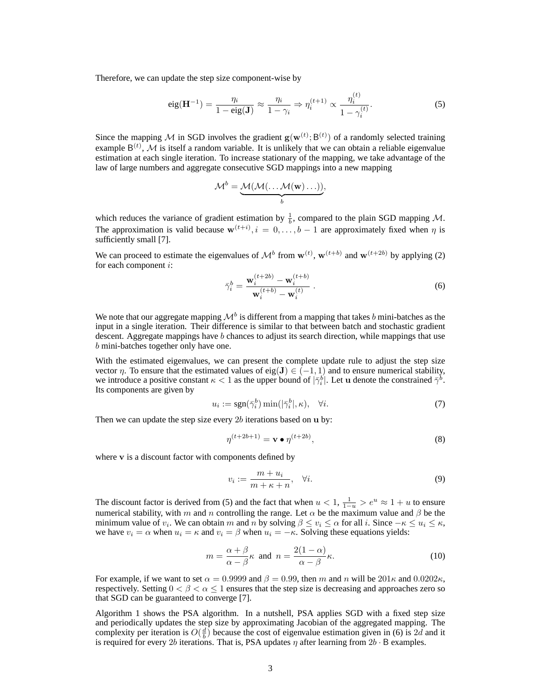Therefore, we can update the step size component-wise by

$$
eig(\mathbf{H}^{-1}) = \frac{\eta_i}{1 - eig(\mathbf{J})} \approx \frac{\eta_i}{1 - \gamma_i} \Rightarrow \eta_i^{(t+1)} \propto \frac{\eta_i^{(t)}}{1 - \gamma_i^{(t)}}.
$$
 (5)

Since the mapping M in SGD involves the gradient  $g(w^{(t)}; B^{(t)})$  of a randomly selected training example  $B^{(t)}$ , M is itself a random variable. It is unlikely that we can obtain a reliable eigenvalue estimation at each single iteration. To increase stationary of the mapping, we take advantage of the law of large numbers and aggregate consecutive SGD mappings into a new mapping

$$
\mathcal{M}^b = \underbrace{\mathcal{M}(\mathcal{M}(\ldots \mathcal{M}(\mathbf{w})\ldots))}_{b},
$$

which reduces the variance of gradient estimation by  $\frac{1}{b}$ , compared to the plain SGD mapping M. The approximation is valid because  $\mathbf{w}^{(t+i)}$ ,  $i = 0, \ldots, b-1$  are approximately fixed when  $\eta$  is sufficiently small [7].

We can proceed to estimate the eigenvalues of  $\mathcal{M}^b$  from  $\mathbf{w}^{(t)}$ ,  $\mathbf{w}^{(t+b)}$  and  $\mathbf{w}^{(t+2b)}$  by applying (2) for each component  $i$ :

$$
\bar{\gamma}_i^b = \frac{\mathbf{w}_i^{(t+2b)} - \mathbf{w}_i^{(t+b)}}{\mathbf{w}_i^{(t+b)} - \mathbf{w}_i^{(t)}}.
$$
\n(6)

We note that our aggregate mapping  $\mathcal{M}^b$  is different from a mapping that takes  $b$  mini-batches as the input in a single iteration. Their difference is similar to that between batch and stochastic gradient descent. Aggregate mappings have  $b$  chances to adjust its search direction, while mappings that use  $b$  mini-batches together only have one.

With the estimated eigenvalues, we can present the complete update rule to adjust the step size vector  $\eta$ . To ensure that the estimated values of eig(J)  $\in (-1, 1)$  and to ensure numerical stability, we introduce a positive constant  $\kappa < 1$  as the upper bound of  $|\bar{\gamma}_i^b|$ . Let u denote the constrained  $\bar{\gamma}^b$ . Its components are given by

$$
u_i := \text{sgn}(\bar{\gamma}_i^b) \min(|\bar{\gamma}_i^b|, \kappa), \quad \forall i. \tag{7}
$$

Then we can update the step size every  $2b$  iterations based on  $\bf{u}$  by:

$$
\eta^{(t+2b+1)} = \mathbf{v} \bullet \eta^{(t+2b)},\tag{8}
$$

where v is a discount factor with components defined by

$$
v_i := \frac{m + u_i}{m + \kappa + n}, \quad \forall i. \tag{9}
$$

The discount factor is derived from (5) and the fact that when  $u < 1$ ,  $\frac{1}{1-u} > e^u \approx 1 + u$  to ensure numerical stability, with m and n controlling the range. Let  $\alpha$  be the maximum value and  $\beta$  be the minimum value of  $v_i$ . We can obtain  $m$  and  $n$  by solving  $\beta \le v_i \le \alpha$  for all  $i$ . Since  $-\kappa \le u_i \le \kappa$ , we have  $v_i = \alpha$  when  $u_i = \kappa$  and  $v_i = \beta$  when  $u_i = -\kappa$ . Solving these equations yields:

$$
m = \frac{\alpha + \beta}{\alpha - \beta} \kappa \text{ and } n = \frac{2(1 - \alpha)}{\alpha - \beta} \kappa. \tag{10}
$$

For example, if we want to set  $\alpha = 0.9999$  and  $\beta = 0.99$ , then m and n will be  $201\kappa$  and  $0.0202\kappa$ , respectively. Setting  $0 < \beta < \alpha \leq 1$  ensures that the step size is decreasing and approaches zero so that SGD can be guaranteed to converge [7].

Algorithm 1 shows the PSA algorithm. In a nutshell, PSA applies SGD with a fixed step size and periodically updates the step size by approximating Jacobian of the aggregated mapping. The complexity per iteration is  $O(\frac{d}{b})$  because the cost of eigenvalue estimation given in (6) is 2d and it is required for every 2b iterations. That is, PSA updates  $\eta$  after learning from 2b ⋅ B examples.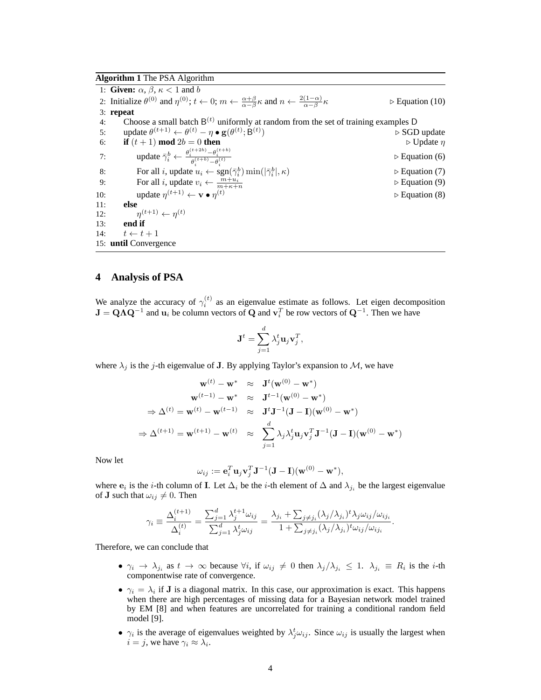## **Algorithm 1** The PSA Algorithm

1: **Given:**  $\alpha$ ,  $\beta$ ,  $\kappa$  < 1 and *b* 2: Initialize  $\theta^{(0)}$  and  $\eta^{(0)}$ ;  $t \leftarrow 0$ ;  $m \leftarrow \frac{\alpha + \beta}{\alpha - \beta} \kappa$  and  $n \leftarrow \frac{2(1-\alpha)}{\alpha - \beta}$  $\triangleright$  Equation (10) 3: **repeat** 4: Choose a small batch  $B^{(t)}$  uniformly at random from the set of training examples D 5: update  $\theta^{(t+1)} \leftarrow \theta^{(t)} - \eta \bullet \mathbf{g}(\theta^{(t)}; \mathbf{B}^{(t)})$ ) ⊳ SGD update 6: **if**  $(t + 1)$  **mod**  $2b = 0$  **then**  $\triangleright$  **D** Update  $\eta$ 7: update  $\bar{\gamma}_i^b \leftarrow \frac{\theta_i^{(t+2b)} - \theta_i^{(t+b)}}{\theta_i^{(t+b)} - \theta_i^{(t)}}$ ⊳ Equation (6) 8: For all *i*, update  $u_i \leftarrow \text{sgn}(\overline{\gamma}_i^b) \min(|\overline{\gamma}_i^b|)$ ∣, 𝜅) ⊳ Equation (7) 9: For all *i*, update  $v_i \leftarrow \frac{m+u_i}{m+\kappa+n}$ ⊳ Equation (9) 10: update  $\eta^{(t+1)} \leftarrow \mathbf{v} \bullet \eta$  $\triangleright$  Equation (8) 11: **else**  $12:$  $\eta^{(t+1)} \leftarrow \eta^{(t)}$ 13: **end if** 14:  $t \leftarrow t + 1$ 15: **until** Convergence

### **4 Analysis of PSA**

We analyze the accuracy of  $\gamma_i^{(t)}$  as an eigenvalue estimate as follows. Let eigen decomposition  $J = QAQ^{-1}$  and  $u_i$  be column vectors of Q and  $v_i^T$  be row vectors of  $Q^{-1}$ . Then we have

$$
\mathbf{J}^t = \sum_{j=1}^d \lambda_j^t \mathbf{u}_j \mathbf{v}_j^T,
$$

where  $\lambda_j$  is the j-th eigenvalue of J. By applying Taylor's expansion to M, we have

$$
\mathbf{w}^{(t)} - \mathbf{w}^* \quad \approx \quad \mathbf{J}^t(\mathbf{w}^{(0)} - \mathbf{w}^*)
$$
\n
$$
\mathbf{w}^{(t-1)} - \mathbf{w}^* \quad \approx \quad \mathbf{J}^{t-1}(\mathbf{w}^{(0)} - \mathbf{w}^*)
$$
\n
$$
\Rightarrow \Delta^{(t)} = \mathbf{w}^{(t)} - \mathbf{w}^{(t-1)} \quad \approx \quad \mathbf{J}^t \mathbf{J}^{-1}(\mathbf{J} - \mathbf{I})(\mathbf{w}^{(0)} - \mathbf{w}^*)
$$
\n
$$
\Rightarrow \Delta^{(t+1)} = \mathbf{w}^{(t+1)} - \mathbf{w}^{(t)} \quad \approx \quad \sum_{j=1}^d \lambda_j \lambda_j^t \mathbf{u}_j \mathbf{v}_j^T \mathbf{J}^{-1}(\mathbf{J} - \mathbf{I})(\mathbf{w}^{(0)} - \mathbf{w}^*)
$$

Now let

$$
\omega_{ij} := \mathbf{e}_i^T \mathbf{u}_j \mathbf{v}_j^T \mathbf{J}^{-1} (\mathbf{J} - \mathbf{I}) (\mathbf{w}^{(0)} - \mathbf{w}^*),
$$

where  $e_i$  is the *i*-th column of **I**. Let  $\Delta_i$  be the *i*-th element of  $\Delta$  and  $\lambda_{j_i}$  be the largest eigenvalue of **J** such that  $\omega_{ij} \neq 0$ . Then

$$
\gamma_i \equiv \frac{\Delta_i^{(t+1)}}{\Delta_i^{(t)}} = \frac{\sum_{j=1}^d \lambda_j^{t+1} \omega_{ij}}{\sum_{j=1}^d \lambda_j^t \omega_{ij}} = \frac{\lambda_{j_i} + \sum_{j \neq j_i} (\lambda_j/\lambda_{j_i})^t \lambda_j \omega_{ij}/\omega_{ij_i}}{1 + \sum_{j \neq j_i} (\lambda_j/\lambda_{j_i})^t \omega_{ij}/\omega_{ij_i}}.
$$

Therefore, we can conclude that

- $\gamma_i \to \lambda_{j_i}$  as  $t \to \infty$  because  $\forall i$ , if  $\omega_{ij} \neq 0$  then  $\lambda_j/\lambda_{j_i} \leq 1$ .  $\lambda_{j_i} \equiv R_i$  is the *i*-th componentwise rate of convergence.
- $\gamma_i = \lambda_i$  if **J** is a diagonal matrix. In this case, our approximation is exact. This happens when there are high percentages of missing data for a Bayesian network model trained by EM [8] and when features are uncorrelated for training a conditional random field model [9].
- $\gamma_i$  is the average of eigenvalues weighted by  $\lambda_j^t \omega_{ij}$ . Since  $\omega_{ij}$  is usually the largest when  $i = j$ , we have  $\gamma_i \approx \lambda_i$ .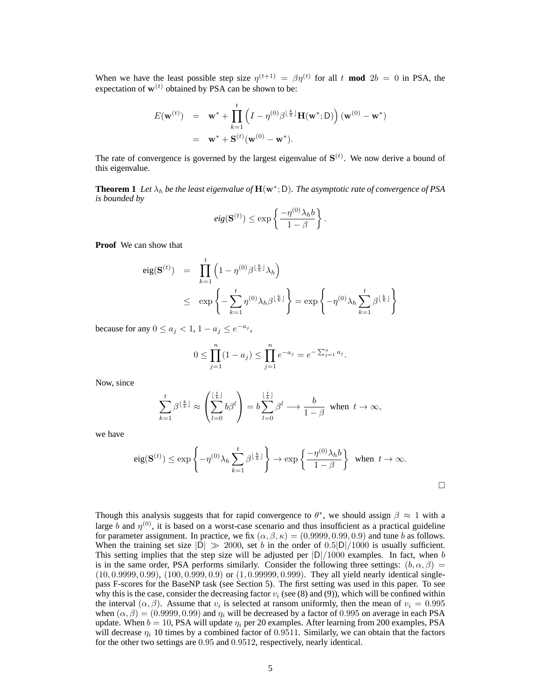When we have the least possible step size  $\eta^{(t+1)} = \beta \eta^{(t)}$  for all t **mod**  $2b = 0$  in PSA, the expectation of  $w^{(t)}$  obtained by PSA can be shown to be:

$$
E(\mathbf{w}^{(t)}) = \mathbf{w}^* + \prod_{k=1}^t \left( I - \eta^{(0)} \beta^{\lfloor \frac{k}{b} \rfloor} \mathbf{H}(\mathbf{w}^*; \mathsf{D}) \right) (\mathbf{w}^{(0)} - \mathbf{w}^*)
$$
  
=  $\mathbf{w}^* + \mathbf{S}^{(t)}(\mathbf{w}^{(0)} - \mathbf{w}^*).$ 

The rate of convergence is governed by the largest eigenvalue of  $S<sup>(t)</sup>$ . We now derive a bound of this eigenvalue.

**Theorem 1** Let  $\lambda_h$  be the least eigenvalue of  $\mathbf{H}(\mathbf{w}^*; \mathsf{D})$ . The asymptotic rate of convergence of PSA *is bounded by*

$$
eig(\mathbf{S}^{(t)}) \le \exp\left\{\frac{-\eta^{(0)}\lambda_h b}{1-\beta}\right\}.
$$

**Proof** We can show that

$$
eig(\mathbf{S}^{(t)}) = \prod_{k=1}^{t} \left(1 - \eta^{(0)}\beta^{\lfloor \frac{k}{b} \rfloor}\lambda_h\right)
$$
  
 
$$
\leq \exp\left\{-\sum_{k=1}^{t} \eta^{(0)}\lambda_h\beta^{\lfloor \frac{k}{b} \rfloor}\right\} = \exp\left\{-\eta^{(0)}\lambda_h\sum_{k=1}^{t} \beta^{\lfloor \frac{k}{b} \rfloor}\right\}
$$

because for any  $0 \le a_j < 1$ ,  $1 - a_j \le e^{-a_j}$ ,

$$
0 \le \prod_{j=1}^n (1 - a_j) \le \prod_{j=1}^n e^{-a_j} = e^{-\sum_{j=1}^n a_j}.
$$

Now, since

$$
\sum_{k=1}^t \beta^{\lfloor \frac{k}{b} \rfloor} \approx \left( \sum_{l=0}^{\lfloor \frac{t}{b} \rfloor} b\beta^l \right) = b \sum_{l=0}^{\lfloor \frac{t}{b} \rfloor} \beta^l \longrightarrow \frac{b}{1-\beta} \text{ when } t \to \infty,
$$

we have

$$
\text{eig}(\mathbf{S}^{(t)}) \le \exp\left\{-\eta^{(0)}\lambda_h \sum_{k=1}^t \beta^{\lfloor \frac{k}{b} \rfloor}\right\} \to \exp\left\{\frac{-\eta^{(0)}\lambda_h b}{1-\beta}\right\} \text{ when } t \to \infty.
$$

□

Though this analysis suggests that for rapid convergence to  $\theta^*$ , we should assign  $\beta \approx 1$  with a large b and  $\eta^{(0)}$ , it is based on a worst-case scenario and thus insufficient as a practical guideline for parameter assignment. In practice, we fix  $(\alpha, \beta, \kappa) = (0.9999, 0.99, 0.9)$  and tune *b* as follows. When the training set size  $|\overline{D}| \gg 2000$ , set *b* in the order of 0.5 $|D|/1000$  is usually sufficient. This setting implies that the step size will be adjusted per  $|D|/1000$  examples. In fact, when b is in the same order, PSA performs similarly. Consider the following three settings:  $(b, \alpha, \beta)$ (10, 0.9999, 0.99), (100, 0.999, 0.9) or (1, 0.99999, 0.999). They all yield nearly identical singlepass F-scores for the BaseNP task (see Section 5). The first setting was used in this paper. To see why this is the case, consider the decreasing factor  $v_i$  (see (8) and (9)), which will be confined within the interval  $(\alpha, \beta)$ . Assume that  $v_i$  is selected at ransom uniformly, then the mean of  $v_i = 0.995$ when  $(\alpha, \beta) = (0.9999, 0.99)$  and  $\eta_i$  will be decreased by a factor of 0.995 on average in each PSA update. When  $b = 10$ , PSA will update  $\eta_i$  per 20 examples. After learning from 200 examples, PSA will decrease  $\eta_i$  10 times by a combined factor of 0.9511. Similarly, we can obtain that the factors for the other two settings are 0.95 and 0.9512, respectively, nearly identical.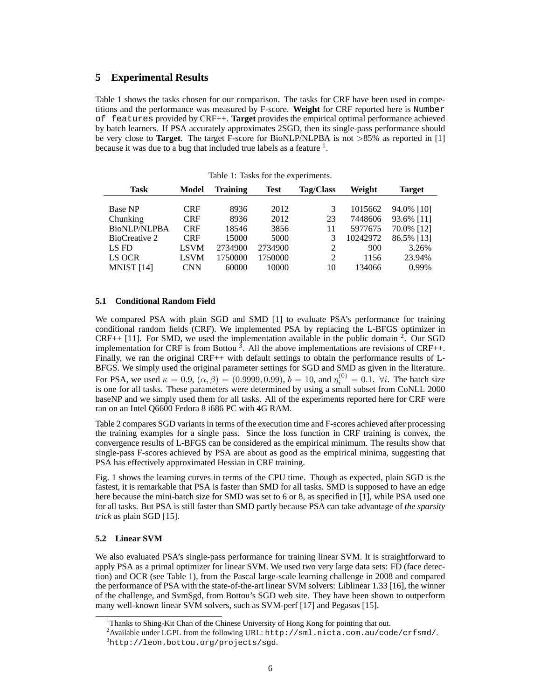# **5 Experimental Results**

Table 1 shows the tasks chosen for our comparison. The tasks for CRF have been used in competitions and the performance was measured by F-score. **Weight** for CRF reported here is Number of features provided by CRF++. **Target** provides the empirical optimal performance achieved by batch learners. If PSA accurately approximates 2SGD, then its single-pass performance should be very close to **Target**. The target F-score for BioNLP/NLPBA is not >85% as reported in [1] because it was due to a bug that included true labels as a feature  $<sup>1</sup>$ .</sup>

| <b>Task</b>    | Model       | <b>Training</b> | Test    | <b>Tag/Class</b> | Weight   | Target     |
|----------------|-------------|-----------------|---------|------------------|----------|------------|
| <b>Base NP</b> | <b>CRF</b>  | 8936            | 2012    | 3                | 1015662  | 94.0% [10] |
| Chunking       | <b>CRF</b>  | 8936            | 2012    | 23               | 7448606  | 93.6% [11] |
| BioNLP/NLPBA   | CRF         | 18546           | 3856    | 11               | 5977675  | 70.0% [12] |
| BioCreative 2  | CRF         | 15000           | 5000    | 3                | 10242972 | 86.5% [13] |
| LS FD          | <b>LSVM</b> | 2734900         | 2734900 | 2                | 900      | 3.26%      |
| LS OCR         | <b>LSVM</b> | 1750000         | 1750000 | $\overline{2}$   | 1156     | 23.94%     |
| MNIST $[14]$   | <b>CNN</b>  | 60000           | 10000   | 10               | 134066   | 0.99%      |

Table 1: Tasks for the experiments.

#### **5.1 Conditional Random Field**

We compared PSA with plain SGD and SMD [1] to evaluate PSA's performance for training conditional random fields (CRF). We implemented PSA by replacing the L-BFGS optimizer in  $CRF++$  [11]. For SMD, we used the implementation available in the public domain  $2$ . Our SGD implementation for CRF is from Bottou  $\overline{3}$ . All the above implementations are revisions of CRF++. Finally, we ran the original CRF++ with default settings to obtain the performance results of L-BFGS. We simply used the original parameter settings for SGD and SMD as given in the literature. For PSA, we used  $\kappa = 0.9$ ,  $(\alpha, \beta) = (0.9999, 0.99)$ ,  $b = 10$ , and  $\eta_i^{(0)} = 0.1$ ,  $\forall i$ . The batch size is one for all tasks. These parameters were determined by using a small subset from CoNLL 2000 baseNP and we simply used them for all tasks. All of the experiments reported here for CRF were ran on an Intel Q6600 Fedora 8 i686 PC with 4G RAM.

Table 2 compares SGD variants in terms of the execution time and F-scores achieved after processing the training examples for a single pass. Since the loss function in CRF training is convex, the convergence results of L-BFGS can be considered as the empirical minimum. The results show that single-pass F-scores achieved by PSA are about as good as the empirical minima, suggesting that PSA has effectively approximated Hessian in CRF training.

Fig. 1 shows the learning curves in terms of the CPU time. Though as expected, plain SGD is the fastest, it is remarkable that PSA is faster than SMD for all tasks. SMD is supposed to have an edge here because the mini-batch size for SMD was set to 6 or 8, as specified in [1], while PSA used one for all tasks. But PSA is still faster than SMD partly because PSA can take advantage of *the sparsity trick* as plain SGD [15].

## **5.2 Linear SVM**

We also evaluated PSA's single-pass performance for training linear SVM. It is straightforward to apply PSA as a primal optimizer for linear SVM. We used two very large data sets: FD (face detection) and OCR (see Table 1), from the Pascal large-scale learning challenge in 2008 and compared the performance of PSA with the state-of-the-art linear SVM solvers: Liblinear 1.33 [16], the winner of the challenge, and SvmSgd, from Bottou's SGD web site. They have been shown to outperform many well-known linear SVM solvers, such as SVM-perf [17] and Pegasos [15].

<sup>&</sup>lt;sup>1</sup>Thanks to Shing-Kit Chan of the Chinese University of Hong Kong for pointing that out.

 $^{2}$ Available under LGPL from the following URL: http://sml.nicta.com.au/code/crfsmd/.

<sup>3</sup>http://leon.bottou.org/projects/sgd.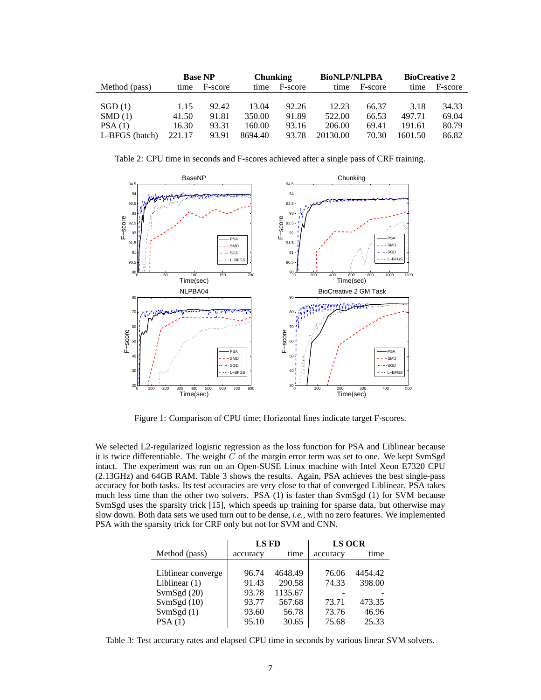|                | <b>Base NP</b> |         |         | <b>Chunking</b> |          | <b>BioNLP/NLPBA</b> |         | <b>BioCreative 2</b> |  |
|----------------|----------------|---------|---------|-----------------|----------|---------------------|---------|----------------------|--|
| Method (pass)  | time           | F-score | time    | F-score         | time     | F-score             | time    | F-score              |  |
|                |                |         |         |                 |          |                     |         |                      |  |
| SGD(1)         | 1.15           | 92.42   | 13.04   | 92.26           | 12.23    | 66.37               | 3.18    | 34.33                |  |
| SMD(1)         | 41.50          | 91.81   | 350.00  | 91.89           | 522.00   | 66.53               | 497.71  | 69.04                |  |
| PSA(1)         | 16.30          | 93.31   | 160.00  | 93.16           | 206.00   | 69.41               | 191.61  | 80.79                |  |
| L-BFGS (batch) | 221.17         | 93.91   | 8694.40 | 93.78           | 20130.00 | 70.30               | 1601.50 | 86.82                |  |

Table 2: CPU time in seconds and F-scores achieved after a single pass of CRF training.



Figure 1: Comparison of CPU time; Horizontal lines indicate target F-scores.

We selected L2-regularized logistic regression as the loss function for PSA and Liblinear because it is twice differentiable. The weight  $\tilde{C}$  of the margin error term was set to one. We kept SvmSgd intact. The experiment was run on an Open-SUSE Linux machine with Intel Xeon E7320 CPU (2.13GHz) and 64GB RAM. Table 3 shows the results. Again, PSA achieves the best single-pass accuracy for both tasks. Its test accuracies are very close to that of converged Liblinear. PSA takes much less time than the other two solvers. PSA (1) is faster than SvmSgd (1) for SVM because SvmSgd uses the sparsity trick [15], which speeds up training for sparse data, but otherwise may slow down. Both data sets we used turn out to be dense, *i.e.*, with no zero features. We implemented PSA with the sparsity trick for CRF only but not for SVM and CNN.

|                    | LS FD    |         | <b>LS OCR</b> |         |  |
|--------------------|----------|---------|---------------|---------|--|
| Method (pass)      | accuracy | time    | accuracy      | time    |  |
|                    |          |         |               |         |  |
| Liblinear converge | 96.74    | 4648.49 | 76.06         | 4454.42 |  |
| Liblinear $(1)$    | 91.43    | 290.58  | 74.33         | 398.00  |  |
| SvmSgd $(20)$      | 93.78    | 1135.67 |               |         |  |
| SvmSgd $(10)$      | 93.77    | 567.68  | 73.71         | 473.35  |  |
| SvmSgd $(1)$       | 93.60    | 56.78   | 73.76         | 46.96   |  |
| PSA(1)             | 95.10    | 30.65   | 75.68         | 25.33   |  |

Table 3: Test accuracy rates and elapsed CPU time in seconds by various linear SVM solvers.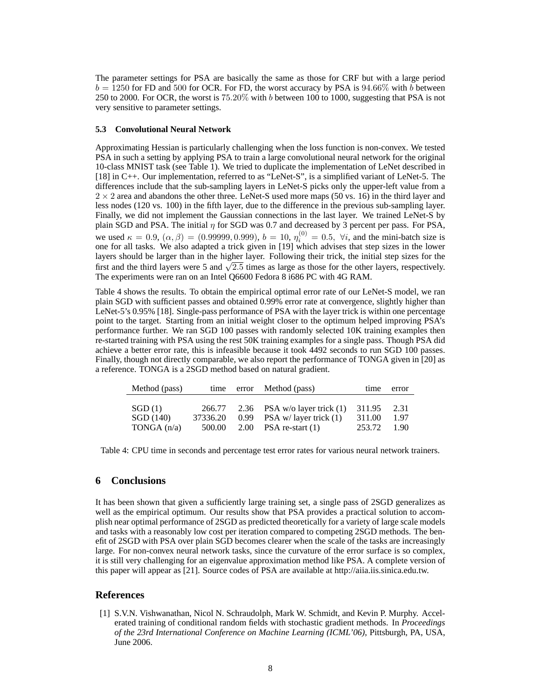The parameter settings for PSA are basically the same as those for CRF but with a large period  $b = 1250$  for FD and 500 for OCR. For FD, the worst accuracy by PSA is 94.66% with  $b$  between 250 to 2000. For OCR, the worst is  $75.20\%$  with b between 100 to 1000, suggesting that PSA is not very sensitive to parameter settings.

#### **5.3 Convolutional Neural Network**

Approximating Hessian is particularly challenging when the loss function is non-convex. We tested PSA in such a setting by applying PSA to train a large convolutional neural network for the original 10-class MNIST task (see Table 1). We tried to duplicate the implementation of LeNet described in [18] in C++. Our implementation, referred to as "LeNet-S", is a simplified variant of LeNet-5. The differences include that the sub-sampling layers in LeNet-S picks only the upper-left value from a  $2 \times 2$  area and abandons the other three. LeNet-S used more maps (50 vs. 16) in the third layer and less nodes (120 vs. 100) in the fifth layer, due to the difference in the previous sub-sampling layer. Finally, we did not implement the Gaussian connections in the last layer. We trained LeNet-S by plain SGD and PSA. The initial  $\eta$  for SGD was 0.7 and decreased by 3 percent per pass. For PSA, we used  $\kappa = 0.9$ ,  $(\alpha, \beta) = (0.99999, 0.999)$ ,  $b = 10$ ,  $\eta_i^{(0)} = 0.5$ ,  $\forall i$ , and the mini-batch size is one for all tasks. We also adapted a trick given in [19] which advises that step sizes in the lower layers should be larger than in the higher layer. Following their trick, the initial step sizes for the first and the third layers were 5 and  $\sqrt{2.5}$  times as large as those for the other layers, respectively. The experiments were ran on an Intel Q6600 Fedora 8 i686 PC with 4G RAM.

Table 4 shows the results. To obtain the empirical optimal error rate of our LeNet-S model, we ran plain SGD with sufficient passes and obtained 0.99% error rate at convergence, slightly higher than LeNet-5's 0.95% [18]. Single-pass performance of PSA with the layer trick is within one percentage point to the target. Starting from an initial weight closer to the optimum helped improving PSA's performance further. We ran SGD 100 passes with randomly selected 10K training examples then re-started training with PSA using the rest 50K training examples for a single pass. Though PSA did achieve a better error rate, this is infeasible because it took 4492 seconds to run SGD 100 passes. Finally, though not directly comparable, we also report the performance of TONGA given in [20] as a reference. TONGA is a 2SGD method based on natural gradient.

| Method (pass) |          |      | time error Method (pass)       | time   | error |
|---------------|----------|------|--------------------------------|--------|-------|
| SGD(1)        | 266.77   | 0.99 | 2.36 PSA w/o layer trick $(1)$ | 311.95 | 2.31  |
| SGD(140)      | 37336.20 |      | PSA w/ layer trick $(1)$       | 311.00 | 1.97  |
| TONGA $(n/a)$ | 500.00   |      | 2.00 PSA re-start $(1)$        | 253.72 | 1.90  |

Table 4: CPU time in seconds and percentage test error rates for various neural network trainers.

# **6 Conclusions**

It has been shown that given a sufficiently large training set, a single pass of 2SGD generalizes as well as the empirical optimum. Our results show that PSA provides a practical solution to accomplish near optimal performance of 2SGD as predicted theoretically for a variety of large scale models and tasks with a reasonably low cost per iteration compared to competing 2SGD methods. The benefit of 2SGD with PSA over plain SGD becomes clearer when the scale of the tasks are increasingly large. For non-convex neural network tasks, since the curvature of the error surface is so complex, it is still very challenging for an eigenvalue approximation method like PSA. A complete version of this paper will appear as [21]. Source codes of PSA are available at http://aiia.iis.sinica.edu.tw.

### **References**

[1] S.V.N. Vishwanathan, Nicol N. Schraudolph, Mark W. Schmidt, and Kevin P. Murphy. Accelerated training of conditional random fields with stochastic gradient methods. In *Proceedings of the 23rd International Conference on Machine Learning (ICML'06)*, Pittsburgh, PA, USA, June 2006.